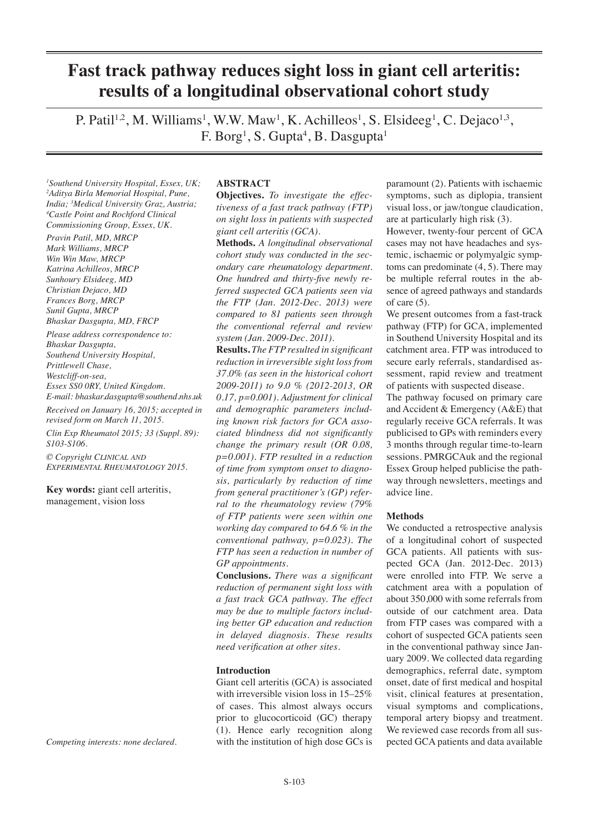# **Fast track pathway reduces sight loss in giant cell arteritis: results of a longitudinal observational cohort study**

P. Patil<sup>1,2</sup>, M. Williams<sup>1</sup>, W.W. Maw<sup>1</sup>, K. Achilleos<sup>1</sup>, S. Elsideeg<sup>1</sup>, C. Dejaco<sup>1,3</sup>, F.  $\mathrm{Borg^1}, \mathrm{S}$ .  $\mathrm{Gupta^4}, \mathrm{B}$ .  $\mathrm{Dasgupta^1}$ 

*1 Southend University Hospital, Essex, UK; 2 Aditya Birla Memorial Hospital, Pune, India; 3 Medical University Graz, Austria; 4 Castle Point and Rochford Clinical Commissioning Group, Essex, UK.*

*Pravin Patil, MD, MRCP Mark Williams, MRCP Win Win Maw, MRCP Katrina Achilleos, MRCP Sunhoury Elsideeg, MD Christian Dejaco, MD Frances Borg, MRCP Sunil Gupta, MRCP Bhaskar Dasgupta, MD, FRCP*

*Please address correspondence to: Bhaskar Dasgupta, Southend University Hospital, Prittlewell Chase, Westcliff-on-sea, Essex SS0 0RY, United Kingdom.*

*E-mail: bhaskar.dasgupta@southend.nhs.uk Received on January 16, 2015; accepted in revised form on March 11, 2015.*

*Clin Exp Rheumatol 2015; 33 (Suppl. 89): S103-S106.*

*© Copyright Clinical and Experimental Rheumatology 2015.*

**Key words:** giant cell arteritis, management, vision loss

*Competing interests: none declared.*

### **ABSTRACT**

**Objectives.** *To investigate the effectiveness of a fast track pathway (FTP) on sight loss in patients with suspected giant cell arteritis (GCA)*.

**Methods.** *A longitudinal observational cohort study was conducted in the secondary care rheumatology department. One hundred and thirty-five newly referred suspected GCA patients seen via the FTP (Jan. 2012-Dec. 2013) were compared to 81 patients seen through the conventional referral and review system (Jan. 2009-Dec. 2011).* 

**Results.** *The FTP resulted in significant reduction in irreversible sight loss from 37.0% (as seen in the historical cohort 2009-2011) to 9.0 % (2012-2013, OR 0.17, p=0.001). Adjustment for clinical and demographic parameters including known risk factors for GCA associated blindness did not significantly change the primary result (OR 0.08, p=0.001). FTP resulted in a reduction of time from symptom onset to diagnosis, particularly by reduction of time from general practitioner's (GP) referral to the rheumatology review (79% of FTP patients were seen within one working day compared to 64.6 % in the conventional pathway, p=0.023). The FTP has seen a reduction in number of GP appointments.*

**Conclusions.** *There was a significant reduction of permanent sight loss with a fast track GCA pathway. The effect may be due to multiple factors including better GP education and reduction in delayed diagnosis. These results need verification at other sites.*

## **Introduction**

Giant cell arteritis (GCA) is associated with irreversible vision loss in 15–25% of cases. This almost always occurs prior to glucocorticoid (GC) therapy (1). Hence early recognition along with the institution of high dose GCs is paramount (2). Patients with ischaemic symptoms, such as diplopia, transient visual loss, or jaw/tongue claudication, are at particularly high risk (3).

However, twenty-four percent of GCA cases may not have headaches and systemic, ischaemic or polymyalgic symptoms can predominate (4, 5). There may be multiple referral routes in the absence of agreed pathways and standards of care (5).

We present outcomes from a fast-track pathway (FTP) for GCA, implemented in Southend University Hospital and its catchment area. FTP was introduced to secure early referrals, standardised assessment, rapid review and treatment of patients with suspected disease.

The pathway focused on primary care and Accident & Emergency (A&E) that regularly receive GCA referrals. It was publicised to GPs with reminders every 3 months through regular time-to-learn sessions. PMRGCAuk and the regional Essex Group helped publicise the pathway through newsletters, meetings and advice line.

#### **Methods**

We conducted a retrospective analysis of a longitudinal cohort of suspected GCA patients. All patients with suspected GCA (Jan. 2012-Dec. 2013) were enrolled into FTP. We serve a catchment area with a population of about 350,000 with some referrals from outside of our catchment area. Data from FTP cases was compared with a cohort of suspected GCA patients seen in the conventional pathway since January 2009. We collected data regarding demographics, referral date, symptom onset, date of first medical and hospital visit, clinical features at presentation, visual symptoms and complications, temporal artery biopsy and treatment. We reviewed case records from all suspected GCA patients and data available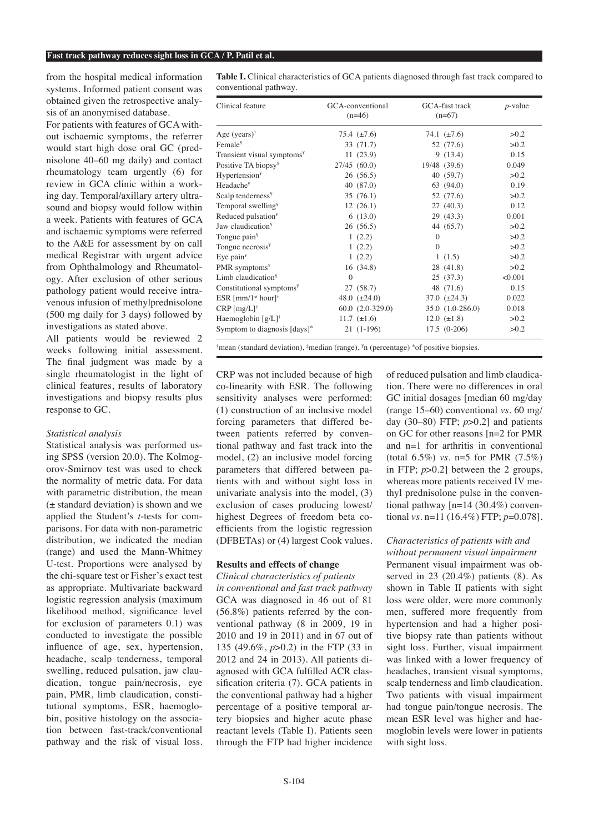from the hospital medical information systems. Informed patient consent was obtained given the retrospective analysis of an anonymised database.

For patients with features of GCA without ischaemic symptoms, the referrer would start high dose oral GC (prednisolone 40–60 mg daily) and contact rheumatology team urgently (6) for review in GCA clinic within a working day. Temporal/axillary artery ultrasound and biopsy would follow within a week. Patients with features of GCA and ischaemic symptoms were referred to the A&E for assessment by on call medical Registrar with urgent advice from Ophthalmology and Rheumatology. After exclusion of other serious pathology patient would receive intravenous infusion of methylprednisolone (500 mg daily for 3 days) followed by investigations as stated above.

All patients would be reviewed 2 weeks following initial assessment. The final judgment was made by a single rheumatologist in the light of clinical features, results of laboratory investigations and biopsy results plus response to GC.

# *Statistical analysis*

Statistical analysis was performed using SPSS (version 20.0). The Kolmogorov-Smirnov test was used to check the normality of metric data. For data with parametric distribution, the mean (± standard deviation) is shown and we applied the Student's *t*-tests for comparisons. For data with non-parametric distribution, we indicated the median (range) and used the Mann-Whitney U-test. Proportions were analysed by the chi-square test or Fisher's exact test as appropriate. Multivariate backward logistic regression analysis (maximum likelihood method, significance level for exclusion of parameters 0.1) was conducted to investigate the possible influence of age, sex, hypertension, headache, scalp tenderness, temporal swelling, reduced pulsation, jaw claudication, tongue pain/necrosis, eye pain, PMR, limb claudication, constitutional symptoms, ESR, haemoglobin, positive histology on the association between fast-track/conventional pathway and the risk of visual loss.

**Table I.** Clinical characteristics of GCA patients diagnosed through fast track compared to conventional pathway.

| Clinical feature                          | GCA-conventional<br>$(n=46)$ | GCA-fast track<br>$(n=67)$ | $p$ -value |
|-------------------------------------------|------------------------------|----------------------------|------------|
| Age (years) <sup>†</sup>                  | 75.4 $(\pm 7.6)$             | 74.1 $(\pm 7.6)$           | >0.2       |
| Female <sup>¥</sup>                       | 33 (71.7)                    | 52 (77.6)                  | >0.2       |
| Transient visual symptoms <sup>¥</sup>    | 11(23.9)                     | 9(13.4)                    | 0.15       |
| Positive TA biopsy <sup>¥</sup>           | 27/45(60.0)                  | 19/48 (39.6)               | 0.049      |
| Hypertension <sup>¥</sup>                 | 26(56.5)                     | 40(59.7)                   | >0.2       |
| Headache <sup>¥</sup>                     | 40(87.0)                     | 63(94.0)                   | 0.19       |
| Scalp tenderness <sup>¥</sup>             | 35(76.1)                     | 52 (77.6)                  | >0.2       |
| Temporal swelling <sup>¥</sup>            | 12(26.1)                     | 27(40.3)                   | 0.12       |
| Reduced pulsation <sup>¥</sup>            | 6(13.0)                      | 29(43.3)                   | 0.001      |
| Jaw claudication <sup>¥</sup>             | 26(56.5)                     | 44 (65.7)                  | >0.2       |
| Tongue pain <sup>¥</sup>                  | 1(2.2)                       | $\mathbf{0}$               | >0.2       |
| Tongue necrosis <sup>¥</sup>              | 1(2.2)                       | $\Omega$                   | >0.2       |
| Eye pain $Y$                              | 1(2.2)                       | 1(1.5)                     | >0.2       |
| PMR symptoms <sup>¥</sup>                 | 16(34.8)                     | 28(41.8)                   | >0.2       |
| Limb claudication <sup>y</sup>            | $\theta$                     | 25(37.3)                   | < 0.001    |
| Constitutional symptoms <sup>y</sup>      | 27(58.7)                     | 48 (71.6)                  | 0.15       |
| ESR ${\rm [mm/1^{st} \; hour]^{\dagger}}$ | 48.0 $(\pm 24.0)$            | 37.0 $(\pm 24.3)$          | 0.022      |
| $CRP [mg/L]$ <sup>‡</sup>                 | $60.0(2.0-329.0)$            | 35.0 (1.0-286.0)           | 0.018      |
| Haemoglobin $[g/L]$ <sup>†</sup>          | 11.7 $(\pm 1.6)$             | 12.0 $(\pm 1.8)$           | >0.2       |
| Symptom to diagnosis [days]*              | $21(1-196)$                  | $17.5(0-206)$              | >0.2       |

CRP was not included because of high co-linearity with ESR. The following sensitivity analyses were performed: (1) construction of an inclusive model forcing parameters that differed between patients referred by conventional pathway and fast track into the model, (2) an inclusive model forcing parameters that differed between patients with and without sight loss in univariate analysis into the model, (3) exclusion of cases producing lowest/ highest Degrees of freedom beta coefficients from the logistic regression (DFBETAs) or (4) largest Cook values.

# **Results and effects of change**

# *Clinical characteristics of patients*

*in conventional and fast track pathway* GCA was diagnosed in 46 out of 81 (56.8%) patients referred by the conventional pathway (8 in 2009, 19 in 2010 and 19 in 2011) and in 67 out of 135 (49.6%, *p*>0.2) in the FTP (33 in 2012 and 24 in 2013). All patients diagnosed with GCA fulfilled ACR classification criteria (7). GCA patients in the conventional pathway had a higher percentage of a positive temporal artery biopsies and higher acute phase reactant levels (Table I). Patients seen through the FTP had higher incidence of reduced pulsation and limb claudication. There were no differences in oral GC initial dosages [median 60 mg/day (range 15–60) conventional *vs.* 60 mg/ day (30–80) FTP; *p*>0.2] and patients on GC for other reasons [n=2 for PMR and n=1 for arthritis in conventional (total 6.5%) *vs.* n=5 for PMR (7.5%) in FTP; *p*>0.2] between the 2 groups, whereas more patients received IV methyl prednisolone pulse in the conventional pathway [n=14 (30.4%) conventional *vs.* n=11 (16.4%) FTP; *p*=0.078].

# *Characteristics of patients with and*

*without permanent visual impairment*  Permanent visual impairment was observed in 23 (20.4%) patients (8). As shown in Table II patients with sight loss were older, were more commonly men, suffered more frequently from hypertension and had a higher positive biopsy rate than patients without sight loss. Further, visual impairment was linked with a lower frequency of headaches, transient visual symptoms, scalp tenderness and limb claudication. Two patients with visual impairment had tongue pain/tongue necrosis. The mean ESR level was higher and haemoglobin levels were lower in patients with sight loss.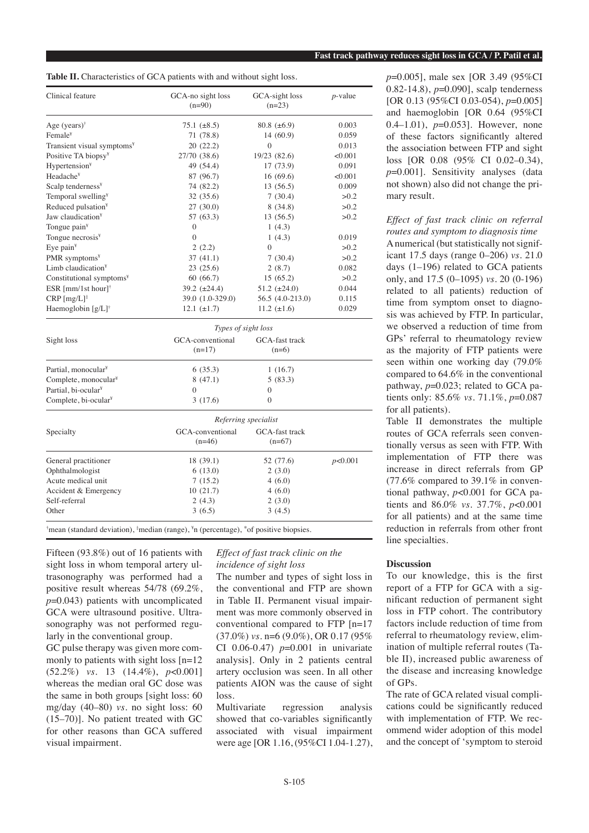| Table II. Characteristics of GCA patients with and without sight loss. |  |  |
|------------------------------------------------------------------------|--|--|
|------------------------------------------------------------------------|--|--|

| Clinical feature                       | GCA-no sight loss<br>$(n=90)$ | GCA-sight loss<br>$(n=23)$ | $p$ -value |  |
|----------------------------------------|-------------------------------|----------------------------|------------|--|
| Age (years) $\dagger$                  | $75.1 (\pm 8.5)$              | 80.8 $(\pm 6.9)$           | 0.003      |  |
| Female <sup>Y</sup>                    | 71 (78.8)                     | 14(60.9)                   | 0.059      |  |
| Transient visual symptoms <sup>y</sup> | 20(22.2)                      | $\mathbf{0}$               | 0.013      |  |
| Positive TA biopsy <sup>¥</sup>        | 27/70 (38.6)                  | 19/23(82.6)                | < 0.001    |  |
| Hypertension <sup>y</sup>              | 49 (54.4)                     | 17 (73.9)                  | 0.091      |  |
| Headache <sup>¥</sup>                  | 87 (96.7)                     | 16(69.6)                   | < 0.001    |  |
| Scalp tenderness <sup>y</sup>          | 74 (82.2)                     | 13(56.5)                   | 0.009      |  |
| Temporal swelling <sup>¥</sup>         | 32 (35.6)                     | 7(30.4)                    | >0.2       |  |
| Reduced pulsation <sup>¥</sup>         | 27 (30.0)                     | 8(34.8)                    | >0.2       |  |
| Jaw claudication <sup>¥</sup>          | 57 (63.3)                     | 13(56.5)                   | >0.2       |  |
| Tongue pain <sup>¥</sup>               | $\boldsymbol{0}$              | 1(4.3)                     |            |  |
| Tongue necrosis <sup>¥</sup>           | $\theta$                      | 1(4.3)                     | 0.019      |  |
| Eye pain <sup>¥</sup>                  | 2(2.2)                        | 0                          | >0.2       |  |
| PMR symptoms <sup>y</sup>              | 37 (41.1)                     | 7(30.4)                    | >0.2       |  |
| Limb claudication <sup>y</sup>         | 23(25.6)                      | 2(8.7)                     | 0.082      |  |
| Constitutional symptoms <sup>y</sup>   | 60(66.7)                      | 15(65.2)                   | >0.2       |  |
| ESR [mm/1st hour] $\dagger$            | 39.2 $(\pm 24.4)$             | 51.2 $(\pm 24.0)$          | 0.044      |  |
| $CRP [mg/L]$ <sup>‡</sup>              | 39.0 (1.0-329.0)              | 56.5 (4.0-213.0)           | 0.115      |  |
| Haemoglobin $[g/L]$ <sup>†</sup>       | $12.1 (\pm 1.7)$              | 11.2 $(\pm 1.6)$           | 0.029      |  |
|                                        | Types of sight loss           |                            |            |  |
| Sight loss                             | GCA-conventional              | GCA-fast track             |            |  |
|                                        | $(n=17)$                      | $(n=6)$                    |            |  |
| Partial, monocular <sup>y</sup>        | 6(35.3)                       | 1(16.7)                    |            |  |
| Complete, monocular <sup>y</sup>       | 8(47.1)                       | 5(83.3)                    |            |  |
| Partial, bi-ocular <sup>y</sup>        | 0                             | 0                          |            |  |
| Complete, bi-ocular <sup>y</sup>       | 3(17.6)                       | $\Omega$                   |            |  |
|                                        | Referring specialist          |                            |            |  |
| Specialty                              | GCA-conventional              | GCA-fast track             |            |  |
|                                        | $(n=46)$                      | $(n=67)$                   |            |  |
| General practitioner                   | 18 (39.1)                     | 52 (77.6)                  | p<0.001    |  |
| Ophthalmologist                        | 6(13.0)                       | 2(3.0)                     |            |  |
| Acute medical unit                     | 7(15.2)                       | 4(6.0)                     |            |  |
| Accident & Emergency                   | 10(21.7)                      | 4(6.0)                     |            |  |
| Self-referral                          | 2(4.3)                        | 2(3.0)                     |            |  |
| Other                                  | 3(6.5)                        | 3(4.5)                     |            |  |

<sup>†</sup>mean (standard deviation), <sup>‡</sup>median (range), <sup>¥</sup>n (percentage), <sup>\*</sup>of positive biopsies.

Fifteen (93.8%) out of 16 patients with sight loss in whom temporal artery ultrasonography was performed had a positive result whereas 54/78 (69.2%, *p*=0.043) patients with uncomplicated GCA were ultrasound positive. Ultrasonography was not performed regularly in the conventional group.

GC pulse therapy was given more commonly to patients with sight loss [n=12 (52.2%) *vs.* 13 (14.4%), *p*<0.001] whereas the median oral GC dose was the same in both groups [sight loss: 60 mg/day (40–80) *vs.* no sight loss: 60 (15–70)]. No patient treated with GC for other reasons than GCA suffered visual impairment.

### *Effect of fast track clinic on the incidence of sight loss*

The number and types of sight loss in the conventional and FTP are shown in Table II. Permanent visual impairment was more commonly observed in conventional compared to FTP [n=17 (37.0%) *vs.* n=6 (9.0%), OR 0.17 (95% CI 0.06-0.47) *p*=0.001 in univariate analysis]. Only in 2 patients central artery occlusion was seen. In all other patients AION was the cause of sight loss.

Multivariate regression analysis showed that co-variables significantly associated with visual impairment were age [OR 1.16, (95%CI 1.04-1.27),

*p*=0.005], male sex [OR 3.49 (95%CI 0.82-14.8), *p*=0.090], scalp tenderness [OR 0.13 (95%CI 0.03-054), *p*=0.005] and haemoglobin [OR 0.64 (95%CI 0.4–1.01), *p*=0.053]. However, none of these factors significantly altered the association between FTP and sight loss [OR 0.08 (95% CI 0.02–0.34), *p*=0.001]. Sensitivity analyses (data not shown) also did not change the primary result.

# *Effect of fast track clinic on referral routes and symptom to diagnosis time*

A numerical (but statistically not significant 17.5 days (range 0–206) *vs.* 21.0 days (1–196) related to GCA patients only, and 17.5 (0–1095) *vs.* 20 (0-196) related to all patients) reduction of time from symptom onset to diagnosis was achieved by FTP. In particular, we observed a reduction of time from GPs' referral to rheumatology review as the majority of FTP patients were seen within one working day (79.0% compared to 64.6% in the conventional pathway, *p*=0.023; related to GCA patients only: 85.6% *vs.* 71.1%, *p*=0.087 for all patients).

Table II demonstrates the multiple routes of GCA referrals seen conventionally versus as seen with FTP. With implementation of FTP there was increase in direct referrals from GP (77.6% compared to 39.1% in conventional pathway, *p*<0.001 for GCA patients and 86.0% *vs.* 37.7%, *p*<0.001 for all patients) and at the same time reduction in referrals from other front line specialties.

### **Discussion**

To our knowledge, this is the first report of a FTP for GCA with a significant reduction of permanent sight loss in FTP cohort. The contributory factors include reduction of time from referral to rheumatology review, elimination of multiple referral routes (Table II), increased public awareness of the disease and increasing knowledge of GPs.

The rate of GCA related visual complications could be significantly reduced with implementation of FTP. We recommend wider adoption of this model and the concept of 'symptom to steroid